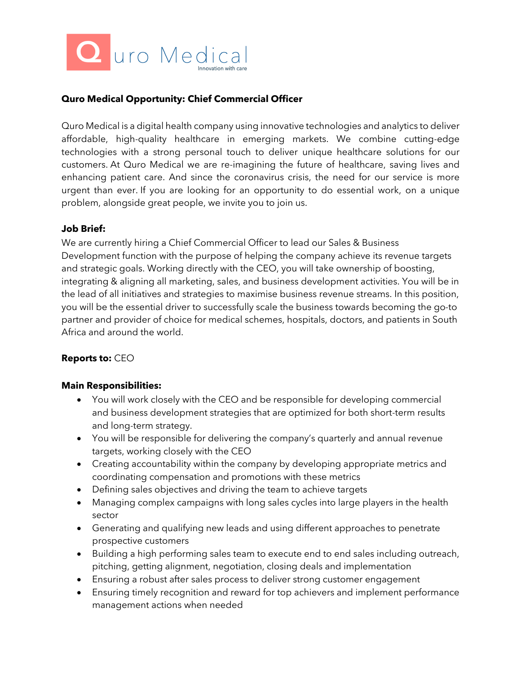

## **Quro Medical Opportunity: Chief Commercial Officer**

Quro Medical is a digital health company using innovative technologies and analytics to deliver affordable, high-quality healthcare in emerging markets. We combine cutting-edge technologies with a strong personal touch to deliver unique healthcare solutions for our customers. At Quro Medical we are re-imagining the future of healthcare, saving lives and enhancing patient care. And since the coronavirus crisis, the need for our service is more urgent than ever. If you are looking for an opportunity to do essential work, on a unique problem, alongside great people, we invite you to join us.

#### **Job Brief:**

We are currently hiring a Chief Commercial Officer to lead our Sales & Business Development function with the purpose of helping the company achieve its revenue targets and strategic goals. Working directly with the CEO, you will take ownership of boosting, integrating & aligning all marketing, sales, and business development activities. You will be in the lead of all initiatives and strategies to maximise business revenue streams. In this position, you will be the essential driver to successfully scale the business towards becoming the go-to partner and provider of choice for medical schemes, hospitals, doctors, and patients in South Africa and around the world.

## **Reports to:** CEO

#### **Main Responsibilities:**

- You will work closely with the CEO and be responsible for developing commercial and business development strategies that are optimized for both short-term results and long-term strategy.
- You will be responsible for delivering the company's quarterly and annual revenue targets, working closely with the CEO
- Creating accountability within the company by developing appropriate metrics and coordinating compensation and promotions with these metrics
- Defining sales objectives and driving the team to achieve targets
- Managing complex campaigns with long sales cycles into large players in the health sector
- Generating and qualifying new leads and using different approaches to penetrate prospective customers
- Building a high performing sales team to execute end to end sales including outreach, pitching, getting alignment, negotiation, closing deals and implementation
- Ensuring a robust after sales process to deliver strong customer engagement
- Ensuring timely recognition and reward for top achievers and implement performance management actions when needed